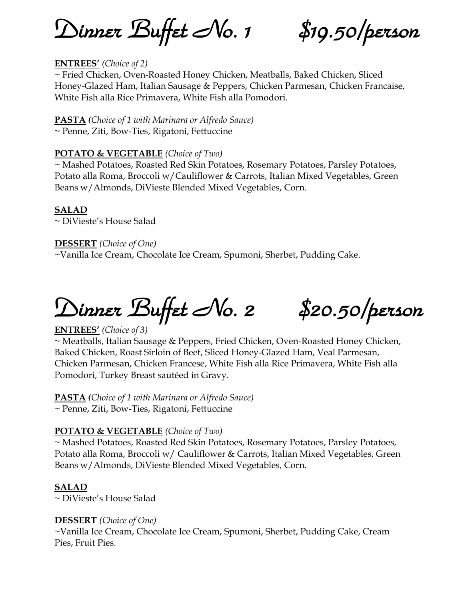*Dinner Buffet No. 1 \$19.50/person* 

## **ENTREES'** *(Choice of 2)*

~ Fried Chicken, Oven-Roasted Honey Chicken, Meatballs, Baked Chicken, Sliced Honey-Glazed Ham, Italian Sausage & Peppers, Chicken Parmesan, Chicken Francaise, White Fish alla Rice Primavera, White Fish alla Pomodori.

**PASTA** *(Choice of 1 with Marinara or Alfredo Sauce)* ~ Penne, Ziti, Bow-Ties, Rigatoni, Fettuccine

#### **POTATO & VEGETABLE** *(Choice of Two)*

~ Mashed Potatoes, Roasted Red Skin Potatoes, Rosemary Potatoes, Parsley Potatoes, Potato alla Roma, Broccoli w/Cauliflower & Carrots, Italian Mixed Vegetables, Green Beans w/Almonds, DiVieste Blended Mixed Vegetables, Corn.

#### **SALAD**

~ DiVieste's House Salad

## **DESSERT** *(Choice of One)*

~Vanilla Ice Cream, Chocolate Ice Cream, Spumoni, Sherbet, Pudding Cake.

# *Dinner Buffet No. 2 \$20.50/person*

## **ENTREES'** *(Choice of 3)*

~ Meatballs, Italian Sausage & Peppers, Fried Chicken, Oven-Roasted Honey Chicken, Baked Chicken, Roast Sirloin of Beef, Sliced Honey-Glazed Ham, Veal Parmesan, Chicken Parmesan, Chicken Francese, White Fish alla Rice Primavera, White Fish alla Pomodori, Turkey Breast sautéed in Gravy.

## **PASTA** *(Choice of 1 with Marinara or Alfredo Sauce)*

~ Penne, Ziti, Bow-Ties, Rigatoni, Fettuccine

## **POTATO & VEGETABLE** *(Choice of Two)*

~ Mashed Potatoes, Roasted Red Skin Potatoes, Rosemary Potatoes, Parsley Potatoes, Potato alla Roma, Broccoli w/ Cauliflower & Carrots, Italian Mixed Vegetables, Green Beans w/Almonds, DiVieste Blended Mixed Vegetables, Corn.

## **SALAD**

~ DiVieste's House Salad

## **DESSERT** *(Choice of One)*

~Vanilla Ice Cream, Chocolate Ice Cream, Spumoni, Sherbet, Pudding Cake, Cream Pies, Fruit Pies.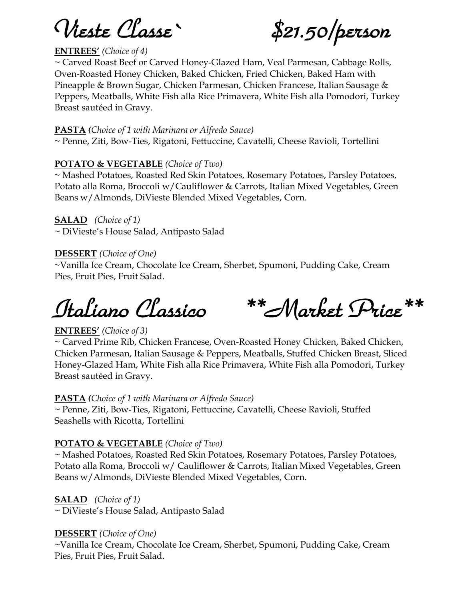*Vieste Classe` \$21.50/person* 

## **ENTREES'** *(Choice of 4)*

~ Carved Roast Beef or Carved Honey-Glazed Ham, Veal Parmesan, Cabbage Rolls, Oven-Roasted Honey Chicken, Baked Chicken, Fried Chicken, Baked Ham with Pineapple & Brown Sugar, Chicken Parmesan, Chicken Francese, Italian Sausage & Peppers, Meatballs, White Fish alla Rice Primavera, White Fish alla Pomodori, Turkey Breast sautéed in Gravy.

#### **PASTA** *(Choice of 1 with Marinara or Alfredo Sauce)*

~ Penne, Ziti, Bow-Ties, Rigatoni, Fettuccine, Cavatelli, Cheese Ravioli, Tortellini

## **POTATO & VEGETABLE** *(Choice of Two)*

~ Mashed Potatoes, Roasted Red Skin Potatoes, Rosemary Potatoes, Parsley Potatoes, Potato alla Roma, Broccoli w/Cauliflower & Carrots, Italian Mixed Vegetables, Green Beans w/Almonds, DiVieste Blended Mixed Vegetables, Corn.

**SALAD** *(Choice of 1)* ~ DiVieste's House Salad, Antipasto Salad

## **DESSERT** *(Choice of One)*

~Vanilla Ice Cream, Chocolate Ice Cream, Sherbet, Spumoni, Pudding Cake, Cream Pies, Fruit Pies, Fruit Salad.

*Italiano Classico \*\*Market Price\*\** 

#### **ENTREES'** *(Choice of 3)*

~ Carved Prime Rib, Chicken Francese, Oven-Roasted Honey Chicken, Baked Chicken, Chicken Parmesan, Italian Sausage & Peppers, Meatballs, Stuffed Chicken Breast, Sliced Honey-Glazed Ham, White Fish alla Rice Primavera, White Fish alla Pomodori, Turkey Breast sautéed in Gravy.

#### **PASTA** *(Choice of 1 with Marinara or Alfredo Sauce)*

~ Penne, Ziti, Bow-Ties, Rigatoni, Fettuccine, Cavatelli, Cheese Ravioli, Stuffed Seashells with Ricotta, Tortellini

## **POTATO & VEGETABLE** *(Choice of Two)*

~ Mashed Potatoes, Roasted Red Skin Potatoes, Rosemary Potatoes, Parsley Potatoes, Potato alla Roma, Broccoli w/ Cauliflower & Carrots, Italian Mixed Vegetables, Green Beans w/Almonds, DiVieste Blended Mixed Vegetables, Corn.

#### **SALAD** *(Choice of 1)*

~ DiVieste's House Salad, Antipasto Salad

#### **DESSERT** *(Choice of One)*

~Vanilla Ice Cream, Chocolate Ice Cream, Sherbet, Spumoni, Pudding Cake, Cream Pies, Fruit Pies, Fruit Salad.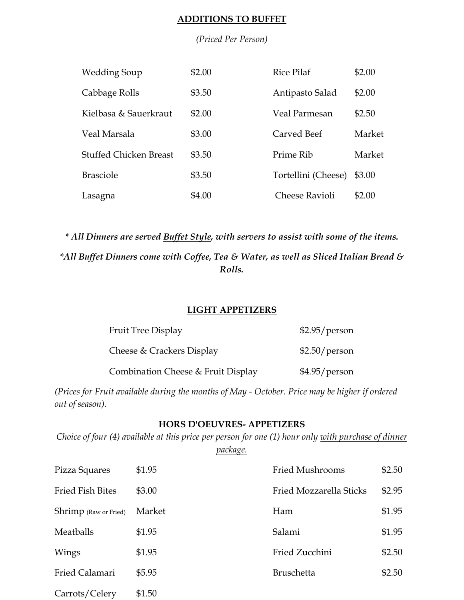#### **ADDITIONS TO BUFFET**

#### *(Priced Per Person)*

| <b>Wedding Soup</b>           | \$2.00 | <b>Rice Pilaf</b>     | \$2.00 |
|-------------------------------|--------|-----------------------|--------|
| Cabbage Rolls                 | \$3.50 | Antipasto Salad       | \$2.00 |
| Kielbasa & Sauerkraut         | \$2.00 | Veal Parmesan         | \$2.50 |
| Veal Marsala                  | \$3.00 | Carved Beef           | Market |
| <b>Stuffed Chicken Breast</b> | \$3.50 | Prime Rib             | Market |
| <b>Brasciole</b>              | \$3.50 | Tortellini (Cheese)   | \$3.00 |
| Lasagna                       | \$4.00 | <b>Cheese Ravioli</b> | \$2.00 |

*\* All Dinners are served Buffet Style, with servers to assist with some of the items. \*All Buffet Dinners come with Coffee, Tea & Water, as well as Sliced Italian Bread & Rolls.*

## **LIGHT APPETIZERS**

| Fruit Tree Display                 | $$2.95/$ person |
|------------------------------------|-----------------|
| Cheese & Crackers Display          | $$2.50/$ person |
| Combination Cheese & Fruit Display | $$4.95/$ person |

*(Prices for Fruit available during the months of May - October. Price may be higher if ordered out of season).*

## **HORS D'OEUVRES- APPETIZERS**

*Choice of four (4) available at this price per person for one (1) hour only with purchase of dinner package.*

| Pizza Squares                | \$1.95 | <b>Fried Mushrooms</b>  | \$2.50 |
|------------------------------|--------|-------------------------|--------|
| <b>Fried Fish Bites</b>      | \$3.00 | Fried Mozzarella Sticks | \$2.95 |
| <b>Shrimp</b> (Raw or Fried) | Market | Ham                     | \$1.95 |
| Meatballs                    | \$1.95 | Salami                  | \$1.95 |
| Wings                        | \$1.95 | Fried Zucchini          | \$2.50 |
| Fried Calamari               | \$5.95 | <b>Bruschetta</b>       | \$2.50 |
| Carrots/Celery               | \$1.50 |                         |        |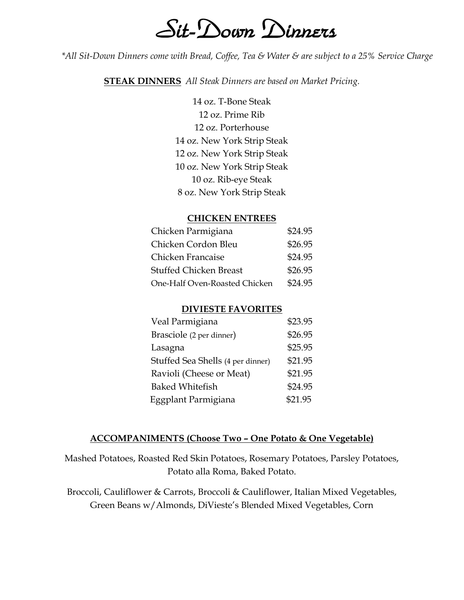## *Sit-Down Dinners*

*\*All Sit-Down Dinners come with Bread, Coffee, Tea & Water & are subject to a 25% Service Charge*

**STEAK DINNERS** *All Steak Dinners are based on Market Pricing.*

14 oz. T-Bone Steak 12 oz. Prime Rib 12 oz. Porterhouse 14 oz. New York Strip Steak 12 oz. New York Strip Steak 10 oz. New York Strip Steak 10 oz. Rib-eye Steak 8 oz. New York Strip Steak

#### **CHICKEN ENTREES**

| Chicken Parmigiana            | \$24.95 |
|-------------------------------|---------|
| Chicken Cordon Bleu           | \$26.95 |
| Chicken Francaise             | \$24.95 |
| <b>Stuffed Chicken Breast</b> | \$26.95 |
| One-Half Oven-Roasted Chicken | \$24.95 |

#### **DIVIESTE FAVORITES**

| Veal Parmigiana                   | \$23.95 |
|-----------------------------------|---------|
| Brasciole (2 per dinner)          | \$26.95 |
| Lasagna                           | \$25.95 |
| Stuffed Sea Shells (4 per dinner) | \$21.95 |
| Ravioli (Cheese or Meat)          | \$21.95 |
| <b>Baked Whitefish</b>            | \$24.95 |
| Eggplant Parmigiana               | \$21.95 |

#### **ACCOMPANIMENTS (Choose Two – One Potato & One Vegetable)**

Mashed Potatoes, Roasted Red Skin Potatoes, Rosemary Potatoes, Parsley Potatoes, Potato alla Roma, Baked Potato.

Broccoli, Cauliflower & Carrots, Broccoli & Cauliflower, Italian Mixed Vegetables, Green Beans w/Almonds, DiVieste's Blended Mixed Vegetables, Corn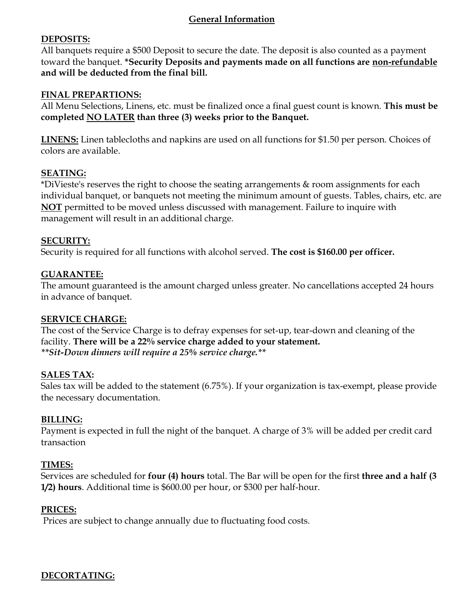## **General Information**

## **DEPOSITS:**

All banquets require a \$500 Deposit to secure the date. The deposit is also counted as a payment toward the banquet. **\*Security Deposits and payments made on all functions are non-refundable and will be deducted from the final bill.**

## **FINAL PREPARTIONS:**

All Menu Selections, Linens, etc. must be finalized once a final guest count is known. **This must be completed NO LATER than three (3) weeks prior to the Banquet.**

**LINENS:** Linen tablecloths and napkins are used on all functions for \$1.50 per person. Choices of colors are available.

## **SEATING:**

\*DiVieste's reserves the right to choose the seating arrangements & room assignments for each individual banquet, or banquets not meeting the minimum amount of guests. Tables, chairs, etc. are **NOT** permitted to be moved unless discussed with management. Failure to inquire with management will result in an additional charge.

## **SECURITY:**

Security is required for all functions with alcohol served. **The cost is \$160.00 per officer.**

## **GUARANTEE:**

The amount guaranteed is the amount charged unless greater. No cancellations accepted 24 hours in advance of banquet.

## **SERVICE CHARGE:**

The cost of the Service Charge is to defray expenses for set-up, tear-down and cleaning of the facility. **There will be a 22% service charge added to your statement.** *\*\*Sit-Down dinners will require a 25% service charge.\*\**

## **SALES TAX:**

Sales tax will be added to the statement (6.75%). If your organization is tax-exempt, please provide the necessary documentation.

## **BILLING:**

Payment is expected in full the night of the banquet. A charge of 3% will be added per credit card transaction

## **TIMES:**

Services are scheduled for **four (4) hours** total. The Bar will be open for the first **three and a half (3 1/2) hours**. Additional time is \$600.00 per hour, or \$300 per half-hour.

## **PRICES:**

Prices are subject to change annually due to fluctuating food costs.

## **DECORTATING:**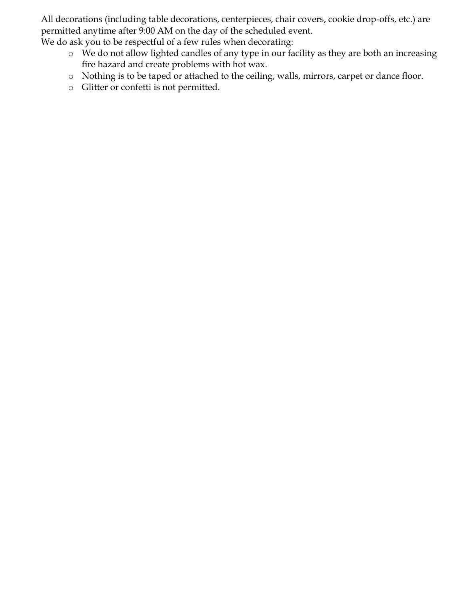All decorations (including table decorations, centerpieces, chair covers, cookie drop-offs, etc.) are permitted anytime after 9:00 AM on the day of the scheduled event.

We do ask you to be respectful of a few rules when decorating:

- o We do not allow lighted candles of any type in our facility as they are both an increasing fire hazard and create problems with hot wax.
- o Nothing is to be taped or attached to the ceiling, walls, mirrors, carpet or dance floor.
- o Glitter or confetti is not permitted.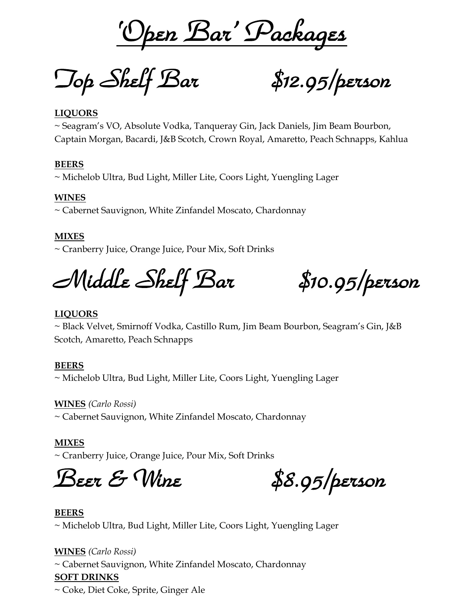*'Open Bar' Packages*

*Top Shelf Bar \$12.95/person* 

#### **LIQUORS**

~ Seagram's VO, Absolute Vodka, Tanqueray Gin, Jack Daniels, Jim Beam Bourbon, Captain Morgan, Bacardi, J&B Scotch, Crown Royal, Amaretto, Peach Schnapps, Kahlua

#### **BEERS**

~ Michelob Ultra, Bud Light, Miller Lite, Coors Light, Yuengling Lager

#### **WINES**

~ Cabernet Sauvignon, White Zinfandel Moscato, Chardonnay

#### **MIXES**

~ Cranberry Juice, Orange Juice, Pour Mix, Soft Drinks

*Middle Shelf Bar \$10.95/person* 

#### **LIQUORS**

~ Black Velvet, Smirnoff Vodka, Castillo Rum, Jim Beam Bourbon, Seagram's Gin, J&B Scotch, Amaretto, Peach Schnapps

#### **BEERS**

~ Michelob Ultra, Bud Light, Miller Lite, Coors Light, Yuengling Lager

**WINES** *(Carlo Rossi)*

~ Cabernet Sauvignon, White Zinfandel Moscato, Chardonnay

#### **MIXES**

~ Cranberry Juice, Orange Juice, Pour Mix, Soft Drinks

*Beer & Wine \$8.95/person* 

#### **BEERS**

~ Michelob Ultra, Bud Light, Miller Lite, Coors Light, Yuengling Lager

#### **WINES** *(Carlo Rossi)*

~ Cabernet Sauvignon, White Zinfandel Moscato, Chardonnay

#### **SOFT DRINKS**

~ Coke, Diet Coke, Sprite, Ginger Ale